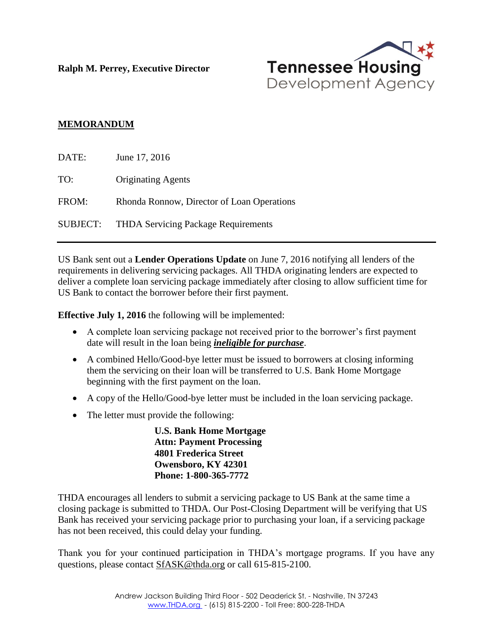**Ralph M. Perrey, Executive Director**



## **MEMORANDUM**

| DATE:    | June 17, 2016                              |
|----------|--------------------------------------------|
| TO:      | <b>Originating Agents</b>                  |
| FROM:    | Rhonda Ronnow, Director of Loan Operations |
| SUBJECT: | <b>THDA Servicing Package Requirements</b> |

US Bank sent out a **Lender Operations Update** on June 7, 2016 notifying all lenders of the requirements in delivering servicing packages. All THDA originating lenders are expected to deliver a complete loan servicing package immediately after closing to allow sufficient time for US Bank to contact the borrower before their first payment.

**Effective July 1, 2016** the following will be implemented:

- A complete loan servicing package not received prior to the borrower's first payment date will result in the loan being *ineligible for purchase*.
- A combined Hello/Good-bye letter must be issued to borrowers at closing informing them the servicing on their loan will be transferred to U.S. Bank Home Mortgage beginning with the first payment on the loan.
- A copy of the Hello/Good-bye letter must be included in the loan servicing package.
- The letter must provide the following:

 **U.S. Bank Home Mortgage Attn: Payment Processing 4801 Frederica Street Owensboro, KY 42301 Phone: 1-800-365-7772**

THDA encourages all lenders to submit a servicing package to US Bank at the same time a closing package is submitted to THDA. Our Post-Closing Department will be verifying that US Bank has received your servicing package prior to purchasing your loan, if a servicing package has not been received, this could delay your funding.

Thank you for your continued participation in THDA's mortgage programs. If you have any questions, please contact [SfASK@thda.org](mailto:SfASK@thda.org) or call 615-815-2100.